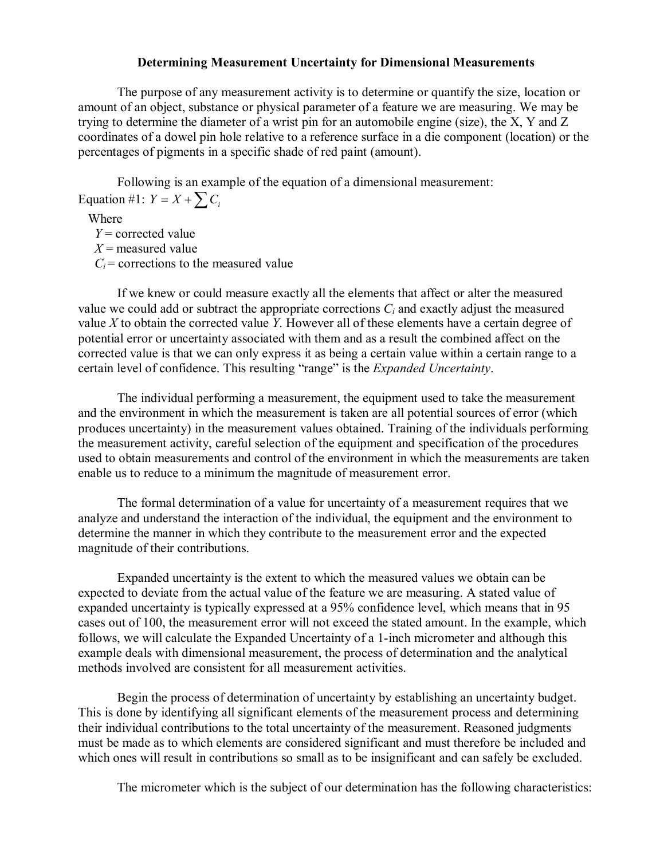## **Determining Measurement Uncertainty for Dimensional Measurements**

The purpose of any measurement activity is to determine or quantify the size, location or amount of an object, substance or physical parameter of a feature we are measuring. We may be trying to determine the diameter of a wrist pin for an automobile engine (size), the X, Y and Z coordinates of a dowel pin hole relative to a reference surface in a die component (location) or the percentages of pigments in a specific shade of red paint (amount).

Following is an example of the equation of a dimensional measurement: Equation #1:  $Y = X + \sum C_i$ 

Where

*Y* = corrected value *X* = measured value  $C_i$  = corrections to the measured value

If we knew or could measure exactly all the elements that affect or alter the measured value we could add or subtract the appropriate corrections  $C_i$  and exactly adjust the measured value *X* to obtain the corrected value *Y*. However all of these elements have a certain degree of potential error or uncertainty associated with them and as a result the combined affect on the corrected value is that we can only express it as being a certain value within a certain range to a certain level of confidence. This resulting "range" is the *Expanded Uncertainty*.

The individual performing a measurement, the equipment used to take the measurement and the environment in which the measurement is taken are all potential sources of error (which produces uncertainty) in the measurement values obtained. Training of the individuals performing the measurement activity, careful selection of the equipment and specification of the procedures used to obtain measurements and control of the environment in which the measurements are taken enable us to reduce to a minimum the magnitude of measurement error.

The formal determination of a value for uncertainty of a measurement requires that we analyze and understand the interaction of the individual, the equipment and the environment to determine the manner in which they contribute to the measurement error and the expected magnitude of their contributions.

Expanded uncertainty is the extent to which the measured values we obtain can be expected to deviate from the actual value of the feature we are measuring. A stated value of expanded uncertainty is typically expressed at a 95% confidence level, which means that in 95 cases out of 100, the measurement error will not exceed the stated amount. In the example, which follows, we will calculate the Expanded Uncertainty of a 1-inch micrometer and although this example deals with dimensional measurement, the process of determination and the analytical methods involved are consistent for all measurement activities.

Begin the process of determination of uncertainty by establishing an uncertainty budget. This is done by identifying all significant elements of the measurement process and determining their individual contributions to the total uncertainty of the measurement. Reasoned judgments must be made as to which elements are considered significant and must therefore be included and which ones will result in contributions so small as to be insignificant and can safely be excluded.

The micrometer which is the subject of our determination has the following characteristics: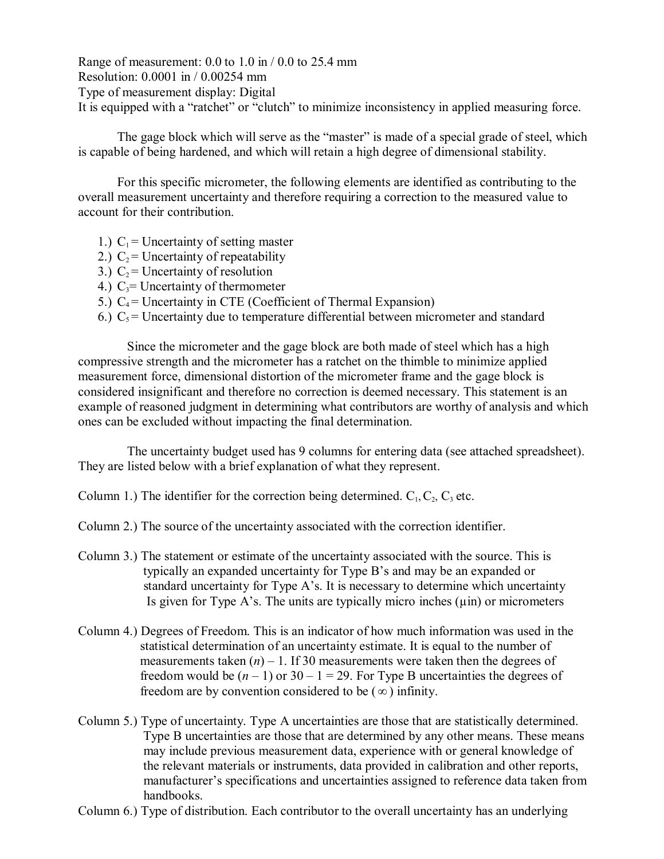Range of measurement:  $0.0$  to  $1.0$  in  $/ 0.0$  to  $25.4$  mm Resolution: 0.0001 in / 0.00254 mm Type of measurement display: Digital It is equipped with a "ratchet" or "clutch" to minimize inconsistency in applied measuring force.

The gage block which will serve as the "master" is made of a special grade of steel, which is capable of being hardened, and which will retain a high degree of dimensional stability.

For this specific micrometer, the following elements are identified as contributing to the overall measurement uncertainty and therefore requiring a correction to the measured value to account for their contribution.

- 1.)  $C_1$  = Uncertainty of setting master
- 2.)  $C_2$  = Uncertainty of repeatability
- 3.)  $C_2$  = Uncertainty of resolution
- 4.)  $C_3$ = Uncertainty of thermometer
- 5.)  $C_4$  = Uncertainty in CTE (Coefficient of Thermal Expansion)
- 6.)  $C_5$  = Uncertainty due to temperature differential between micrometer and standard

Since the micrometer and the gage block are both made of steel which has a high compressive strength and the micrometer has a ratchet on the thimble to minimize applied measurement force, dimensional distortion of the micrometer frame and the gage block is considered insignificant and therefore no correction is deemed necessary. This statement is an example of reasoned judgment in determining what contributors are worthy of analysis and which ones can be excluded without impacting the final determination.

The uncertainty budget used has 9 columns for entering data (see attached spreadsheet). They are listed below with a brief explanation of what they represent.

Column 1.) The identifier for the correction being determined.  $C_1, C_2, C_3$  etc.

Column 2.) The source of the uncertainty associated with the correction identifier.

- Column 3.) The statement or estimate of the uncertainty associated with the source. This is typically an expanded uncertainty for Type B's and may be an expanded or standard uncertainty for Type A's. It is necessary to determine which uncertainty Is given for Type A's. The units are typically micro inches  $(\mu$ in) or micrometers
- Column 4.) Degrees of Freedom. This is an indicator of how much information was used in the statistical determination of an uncertainty estimate. It is equal to the number of measurements taken  $(n) - 1$ . If 30 measurements were taken then the degrees of freedom would be  $(n - 1)$  or  $30 - 1 = 29$ . For Type B uncertainties the degrees of freedom are by convention considered to be  $(\infty)$  infinity.
- Column 5.) Type of uncertainty. Type A uncertainties are those that are statistically determined. Type B uncertainties are those that are determined by any other means. These means may include previous measurement data, experience with or general knowledge of the relevant materials or instruments, data provided in calibration and other reports, manufacturer's specifications and uncertainties assigned to reference data taken from handbooks.
- Column 6.) Type of distribution. Each contributor to the overall uncertainty has an underlying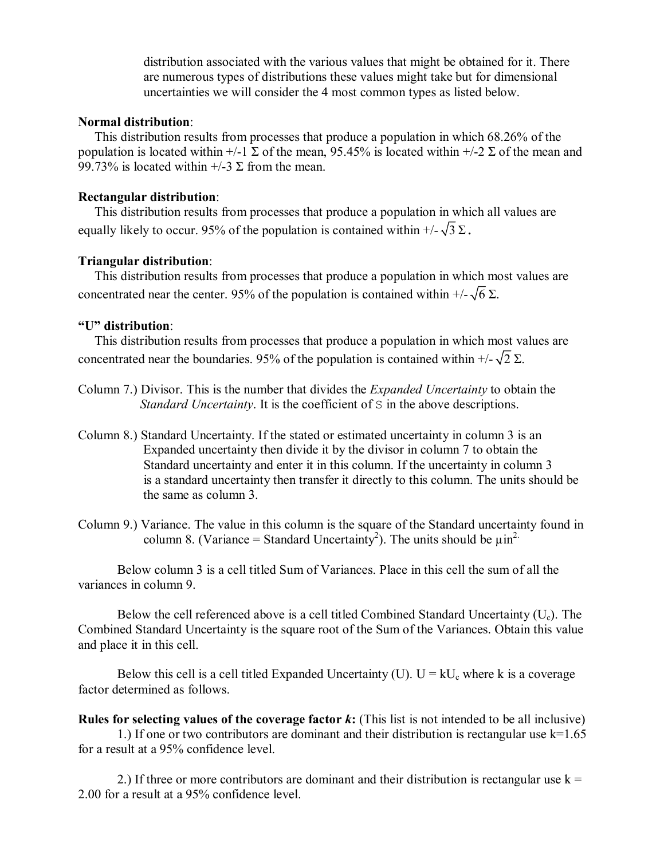distribution associated with the various values that might be obtained for it. There are numerous types of distributions these values might take but for dimensional uncertainties we will consider the 4 most common types as listed below.

## **Normal distribution**:

This distribution results from processes that produce a population in which 68.26% of the population is located within  $+/-1$   $\Sigma$  of the mean, 95.45% is located within  $+/-2$   $\Sigma$  of the mean and 99.73% is located within  $+/-3 \Sigma$  from the mean.

## **Rectangular distribution**:

This distribution results from processes that produce a population in which all values are equally likely to occur. 95% of the population is contained within  $+/-\sqrt{3}\Sigma$ .

# **Triangular distribution**:

This distribution results from processes that produce a population in which most values are concentrated near the center. 95% of the population is contained within  $+/-\sqrt{6} \Sigma$ .

### **"U" distribution**:

This distribution results from processes that produce a population in which most values are concentrated near the boundaries. 95% of the population is contained within  $+/-\sqrt{2} \Sigma$ .

- Column 7.) Divisor. This is the number that divides the *Expanded Uncertainty* to obtain the *Standard Uncertainty*. It is the coefficient of S in the above descriptions.
- Column 8.) Standard Uncertainty. If the stated or estimated uncertainty in column 3 is an Expanded uncertainty then divide it by the divisor in column 7 to obtain the Standard uncertainty and enter it in this column. If the uncertainty in column 3 is a standard uncertainty then transfer it directly to this column. The units should be the same as column 3.
- Column 9.) Variance. The value in this column is the square of the Standard uncertainty found in column 8. (Variance = Standard Uncertainty<sup>2</sup>). The units should be  $\mu$ in<sup>2.</sup>

Below column 3 is a cell titled Sum of Variances. Place in this cell the sum of all the variances in column 9.

Below the cell referenced above is a cell titled Combined Standard Uncertainty  $(U_c)$ . The Combined Standard Uncertainty is the square root of the Sum of the Variances. Obtain this value and place it in this cell.

Below this cell is a cell titled Expanded Uncertainty (U).  $U = kU_c$  where k is a coverage factor determined as follows.

**Rules for selecting values of the coverage factor** *k***:** (This list is not intended to be all inclusive) 1.) If one or two contributors are dominant and their distribution is rectangular use k=1.65 for a result at a 95% confidence level.

2.) If three or more contributors are dominant and their distribution is rectangular use  $k =$ 2.00 for a result at a 95% confidence level.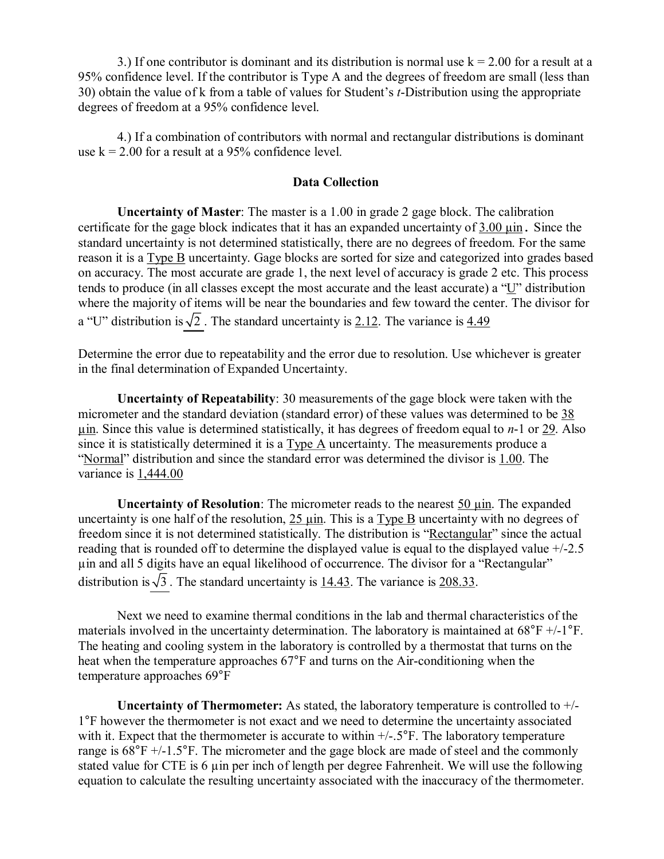3.) If one contributor is dominant and its distribution is normal use  $k = 2.00$  for a result at a 95% confidence level. If the contributor is Type A and the degrees of freedom are small (less than 30) obtain the value of k from a table of values for Student's *t*-Distribution using the appropriate degrees of freedom at a 95% confidence level.

4.) If a combination of contributors with normal and rectangular distributions is dominant use  $k = 2.00$  for a result at a 95% confidence level.

### **Data Collection**

**Uncertainty of Master**: The master is a 1.00 in grade 2 gage block. The calibration certificate for the gage block indicates that it has an expanded uncertainty of  $3.00 \mu$  in. Since the standard uncertainty is not determined statistically, there are no degrees of freedom. For the same reason it is a Type B uncertainty. Gage blocks are sorted for size and categorized into grades based on accuracy. The most accurate are grade 1, the next level of accuracy is grade 2 etc. This process tends to produce (in all classes except the most accurate and the least accurate) a "U" distribution where the majority of items will be near the boundaries and few toward the center. The divisor for a "U" distribution is  $\sqrt{2}$ . The standard uncertainty is 2.12. The variance is 4.49

Determine the error due to repeatability and the error due to resolution. Use whichever is greater in the final determination of Expanded Uncertainty.

**Uncertainty of Repeatability**: 30 measurements of the gage block were taken with the micrometer and the standard deviation (standard error) of these values was determined to be 38  $\mu$ in. Since this value is determined statistically, it has degrees of freedom equal to *n*-1 or 29. Also since it is statistically determined it is a Type A uncertainty. The measurements produce a "Normal" distribution and since the standard error was determined the divisor is 1.00. The variance is 1,444.00

**Uncertainty of Resolution**: The micrometer reads to the nearest 50  $\mu$ in. The expanded uncertainty is one half of the resolution,  $25 \text{ } \mu \text{m}$ . This is a Type B uncertainty with no degrees of freedom since it is not determined statistically. The distribution is "Rectangular" since the actual reading that is rounded off to determine the displayed value is equal to the displayed value  $+/-2.5$ µin and all 5 digits have an equal likelihood of occurrence. The divisor for a "Rectangular" distribution is  $\sqrt{3}$ . The standard uncertainty is 14.43. The variance is 208.33.

Next we need to examine thermal conditions in the lab and thermal characteristics of the materials involved in the uncertainty determination. The laboratory is maintained at  $68^{\circ}F +/-1^{\circ}F$ . The heating and cooling system in the laboratory is controlled by a thermostat that turns on the heat when the temperature approaches  $67^{\circ}$ F and turns on the Air-conditioning when the temperature approaches 69°F

**Uncertainty of Thermometer:** As stated, the laboratory temperature is controlled to  $+/-$ 1°F however the thermometer is not exact and we need to determine the uncertainty associated with it. Expect that the thermometer is accurate to within  $+/-.5^{\circ}$ . The laboratory temperature range is  $68^{\circ}F +/-1.5^{\circ}F$ . The micrometer and the gage block are made of steel and the commonly stated value for CTE is 6 µin per inch of length per degree Fahrenheit. We will use the following equation to calculate the resulting uncertainty associated with the inaccuracy of the thermometer.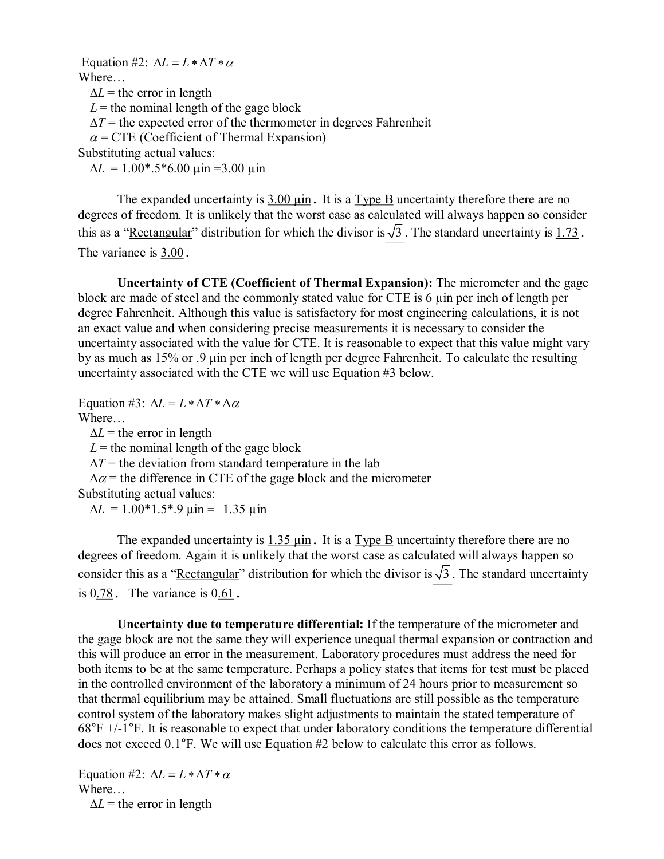Equation #2:  $\Delta L = L * \Delta T * \alpha$ Where…  $\Delta L$  = the error in length  $L =$  the nominal length of the gage block  $\Delta T$  = the expected error of the thermometer in degrees Fahrenheit  $\alpha$  = CTE (Coefficient of Thermal Expansion) Substituting actual values:  $\Delta L = 1.00^* .5^* 6.00 \text{ } \mu \text{m} = 3.00 \text{ } \mu \text{m}$ 

The expanded uncertainty is  $3.00 \mu$  in. It is a Type B uncertainty therefore there are no degrees of freedom. It is unlikely that the worst case as calculated will always happen so consider this as a "Rectangular" distribution for which the divisor is  $\sqrt{3}$ . The standard uncertainty is 1.73. The variance is 3.00.

**Uncertainty of CTE (Coefficient of Thermal Expansion):** The micrometer and the gage block are made of steel and the commonly stated value for CTE is 6 µin per inch of length per degree Fahrenheit. Although this value is satisfactory for most engineering calculations, it is not an exact value and when considering precise measurements it is necessary to consider the uncertainty associated with the value for CTE. It is reasonable to expect that this value might vary by as much as 15% or .9 µin per inch of length per degree Fahrenheit. To calculate the resulting uncertainty associated with the CTE we will use Equation #3 below.

Equation #3:  $\Delta L = L * \Delta T * \Delta \alpha$ 

Where…

 $\Delta L$  = the error in length

 $L =$  the nominal length of the gage block

 $\Delta T$  = the deviation from standard temperature in the lab

 $\Delta \alpha$  = the difference in CTE of the gage block and the micrometer

Substituting actual values:

 $\Delta L = 1.00*1.5*9 \text{ } \mu \text{m} = 1.35 \text{ } \mu \text{m}$ 

The expanded uncertainty is  $1.35 \mu \text{in}$ . It is a Type B uncertainty therefore there are no degrees of freedom. Again it is unlikely that the worst case as calculated will always happen so consider this as a "Rectangular" distribution for which the divisor is  $\sqrt{3}$ . The standard uncertainty is  $0.78$ . The variance is  $0.61$ .

**Uncertainty due to temperature differential:** If the temperature of the micrometer and the gage block are not the same they will experience unequal thermal expansion or contraction and this will produce an error in the measurement. Laboratory procedures must address the need for both items to be at the same temperature. Perhaps a policy states that items for test must be placed in the controlled environment of the laboratory a minimum of 24 hours prior to measurement so that thermal equilibrium may be attained. Small fluctuations are still possible as the temperature control system of the laboratory makes slight adjustments to maintain the stated temperature of  $68^{\circ}$ F +/-1<sup>o</sup>F. It is reasonable to expect that under laboratory conditions the temperature differential does not exceed 0.1°F. We will use Equation #2 below to calculate this error as follows.

Equation #2:  $\Delta L = L * \Delta T * \alpha$ Where…  $\Delta L$  = the error in length